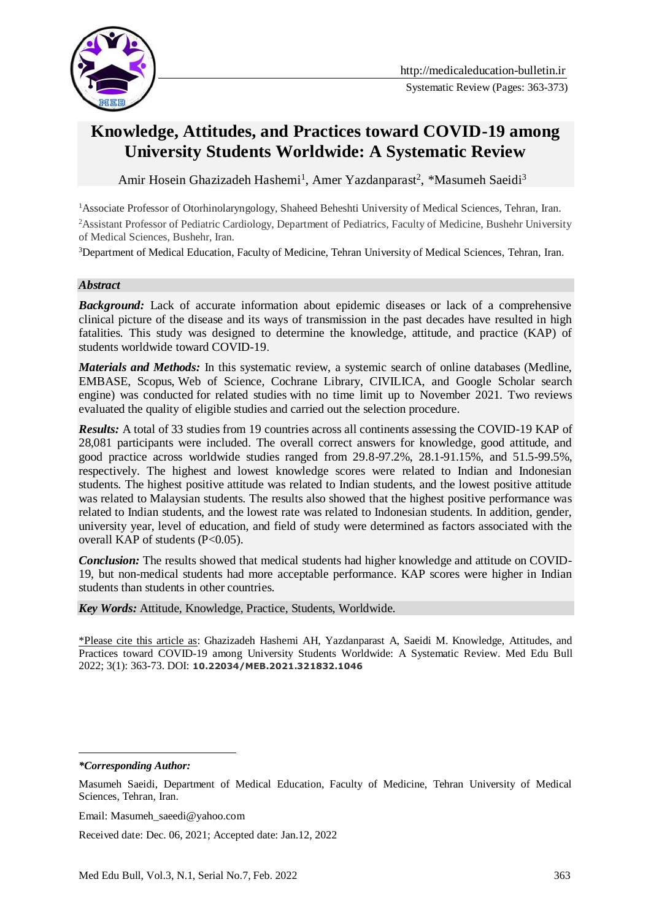

# **Knowledge, Attitudes, and Practices toward COVID-19 among University Students Worldwide: A Systematic Review**

Amir Hosein Ghazizadeh Hashemi<sup>1</sup>, Amer Yazdanparast<sup>2</sup>, \*Masumeh Saeidi<sup>3</sup>

<sup>1</sup>Associate Professor of Otorhinolaryngology, Shaheed Beheshti University of Medical Sciences, Tehran, Iran. <sup>2</sup>Assistant Professor of Pediatric Cardiology, Department of Pediatrics, Faculty of Medicine, Bushehr University of Medical Sciences, Bushehr, Iran.

<sup>3</sup>Department of Medical Education, Faculty of Medicine, Tehran University of Medical Sciences, Tehran, Iran.

#### *Abstract*

**Background:** Lack of accurate information about epidemic diseases or lack of a comprehensive clinical picture of the disease and its ways of transmission in the past decades have resulted in high fatalities. This study was designed to determine the knowledge, attitude, and practice (KAP) of students worldwide toward COVID-19.

*Materials and Methods:* In this systematic review, a systemic search of online databases (Medline, EMBASE, Scopus, Web of Science, Cochrane Library, CIVILICA, and Google Scholar search engine) was conducted for related studies with no time limit up to November 2021. Two reviews evaluated the quality of eligible studies and carried out the selection procedure.

*Results:* A total of 33 studies from 19 countries across all continents assessing the COVID-19 KAP of 28,081 participants were included. The overall correct answers for knowledge, good attitude, and good practice across worldwide studies ranged from 29.8-97.2%, 28.1-91.15%, and 51.5-99.5%, respectively. The highest and lowest knowledge scores were related to Indian and Indonesian students. The highest positive attitude was related to Indian students, and the lowest positive attitude was related to Malaysian students. The results also showed that the highest positive performance was related to Indian students, and the lowest rate was related to Indonesian students. In addition, gender, university year, level of education, and field of study were determined as factors associated with the overall KAP of students (P<0.05).

*Conclusion:* The results showed that medical students had higher knowledge and attitude on COVID-19, but non-medical students had more acceptable performance. KAP scores were higher in Indian students than students in other countries.

*Key Words:* Attitude, Knowledge, Practice, Students, Worldwide.

\*Please cite this article as: Ghazizadeh Hashemi AH, Yazdanparast A, Saeidi M. Knowledge, Attitudes, and Practices toward COVID-19 among University Students Worldwide: A Systematic Review. Med Edu Bull 2022; 3(1): 363-73. DOI: **10.22034/MEB.2021.321832.1046**

<u>.</u>

Received date: Dec. 06, 2021; Accepted date: Jan.12, 2022

*<sup>\*</sup>Corresponding Author:*

Masumeh Saeidi, Department of Medical Education, Faculty of Medicine, Tehran University of Medical Sciences, Tehran, Iran.

Email: Masumeh\_saeedi@yahoo.com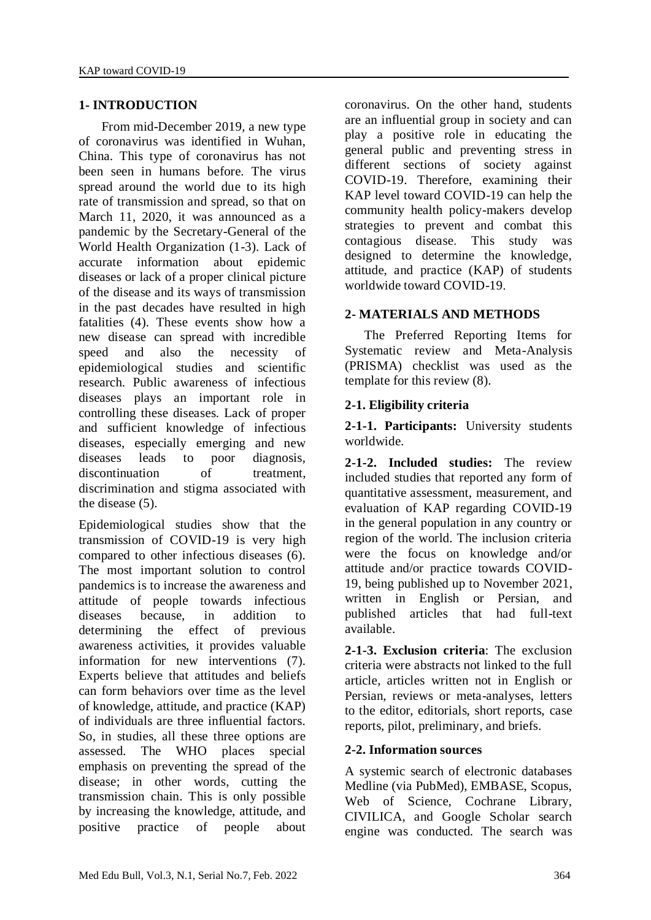## **1- INTRODUCTION**

 From mid-December 2019, a new type of coronavirus was identified in Wuhan, China. This type of coronavirus has not been seen in humans before. The virus spread around the world due to its high rate of transmission and spread, so that on March 11, 2020, it was announced as a pandemic by the Secretary-General of the World Health Organization (1-3). Lack of accurate information about epidemic diseases or lack of a proper clinical picture of the disease and its ways of transmission in the past decades have resulted in high fatalities (4). These events show how a new disease can spread with incredible speed and also the necessity of epidemiological studies and scientific research. Public awareness of infectious diseases plays an important role in controlling these diseases. Lack of proper and sufficient knowledge of infectious diseases, especially emerging and new diseases leads to poor diagnosis, discontinuation of treatment, discrimination and stigma associated with the disease (5).

Epidemiological studies show that the transmission of COVID-19 is very high compared to other infectious diseases (6). The most important solution to control pandemics is to increase the awareness and attitude of people towards infectious diseases because, in addition to determining the effect of previous awareness activities, it provides valuable information for new interventions (7). Experts believe that attitudes and beliefs can form behaviors over time as the level of knowledge, attitude, and practice (KAP) of individuals are three influential factors. So, in studies, all these three options are assessed. The WHO places special emphasis on preventing the spread of the disease; in other words, cutting the transmission chain. This is only possible by increasing the knowledge, attitude, and positive practice of people about

coronavirus. On the other hand, students are an influential group in society and can play a positive role in educating the general public and preventing stress in different sections of society against COVID-19. Therefore, examining their KAP level toward COVID-19 can help the community health policy-makers develop strategies to prevent and combat this contagious disease. This study was designed to determine the knowledge, attitude, and practice (KAP) of students worldwide toward COVID-19.

## **2- MATERIALS AND METHODS**

 The Preferred Reporting Items for Systematic review and Meta-Analysis (PRISMA) checklist was used as the template for this review (8).

## **2-1. Eligibility criteria**

**2-1-1. Participants:** University students worldwide.

**2-1-2. Included studies:** The review included studies that reported any form of quantitative assessment, measurement, and evaluation of KAP regarding COVID-19 in the general population in any country or region of the world. The inclusion criteria were the focus on knowledge and/or attitude and/or practice towards COVID-19, being published up to November 2021, written in English or Persian, and published articles that had full-text available.

**2-1-3. Exclusion criteria**: The exclusion criteria were abstracts not linked to the full article, articles written not in English or Persian, reviews or meta-analyses, letters to the editor, editorials, short reports, case reports, pilot, preliminary, and briefs.

#### **2-2. Information sources**

A systemic search of electronic databases Medline (via PubMed), EMBASE, Scopus, Web of Science, Cochrane Library, CIVILICA, and Google Scholar search engine was conducted. The search was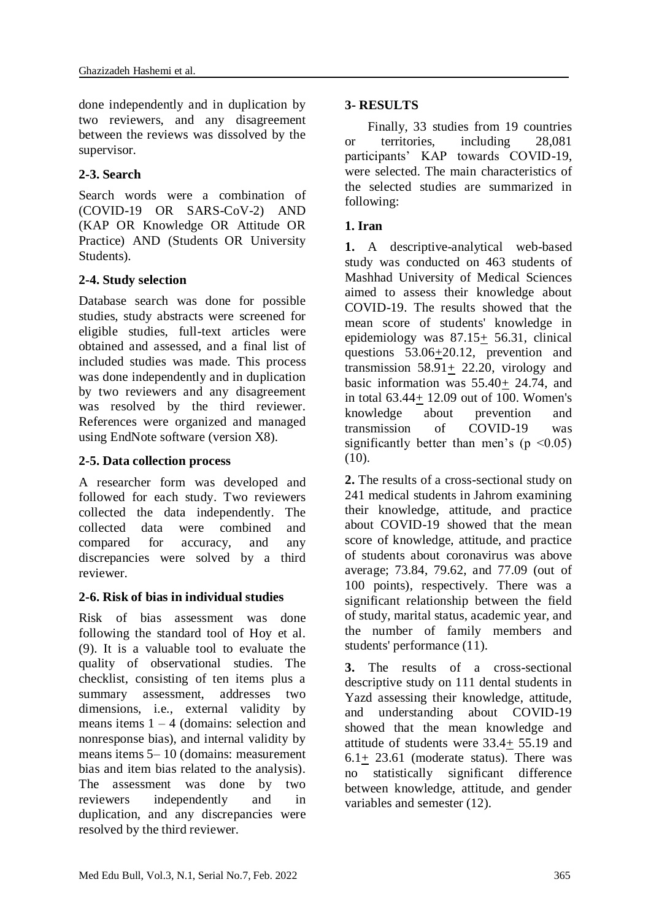done independently and in duplication by two reviewers, and any disagreement between the reviews was dissolved by the supervisor.

## **2-3. Search**

Search words were a combination of (COVID-19 OR SARS-CoV-2) AND (KAP OR Knowledge OR Attitude OR Practice) AND (Students OR University Students).

## **2-4. Study selection**

Database search was done for possible studies, study abstracts were screened for eligible studies, full-text articles were obtained and assessed, and a final list of included studies was made. This process was done independently and in duplication by two reviewers and any disagreement was resolved by the third reviewer. References were organized and managed using EndNote software (version X8).

## **2-5. Data collection process**

A researcher form was developed and followed for each study. Two reviewers collected the data independently. The collected data were combined and compared for accuracy, and any discrepancies were solved by a third reviewer.

## **2-6. Risk of bias in individual studies**

Risk of bias assessment was done following the standard tool of Hoy et al. (9). It is a valuable tool to evaluate the quality of observational studies. The checklist, consisting of ten items plus a summary assessment, addresses two dimensions, i.e., external validity by means items  $1 - 4$  (domains: selection and nonresponse bias), and internal validity by means items 5– 10 (domains: measurement bias and item bias related to the analysis). The assessment was done by two reviewers independently and in duplication, and any discrepancies were resolved by the third reviewer.

## **3- RESULTS**

 Finally, 33 studies from 19 countries or territories, including 28,081 participants' KAP towards COVID-19, were selected. The main characteristics of the selected studies are summarized in following:

## **1. Iran**

**1.** A descriptive-analytical web-based study was conducted on 463 students of Mashhad University of Medical Sciences aimed to assess their knowledge about COVID-19. The results showed that the mean score of students' knowledge in epidemiology was 87.15+ 56.31, clinical questions 53.06+20.12, prevention and transmission  $58.91 \pm 22.20$ , virology and basic information was 55.40+ 24.74, and in total  $63.44 \pm 12.09$  out of 100. Women's<br>knowledge about prevention and knowledge about prevention and transmission of COVID-19 was significantly better than men's ( $p \le 0.05$ ) (10).

**2.** The results of a cross-sectional study on 241 medical students in Jahrom examining their knowledge, attitude, and practice about COVID-19 showed that the mean score of knowledge, attitude, and practice of students about coronavirus was above average; 73.84, 79.62, and 77.09 (out of 100 points), respectively. There was a significant relationship between the field of study, marital status, academic year, and the number of family members and students' performance (11).

**3.** The results of a cross-sectional descriptive study on 111 dental students in Yazd assessing their knowledge, attitude, and understanding about COVID-19 showed that the mean knowledge and attitude of students were 33.4+ 55.19 and 6.1+ 23.61 (moderate status). There was no statistically significant difference between knowledge, attitude, and gender variables and semester (12).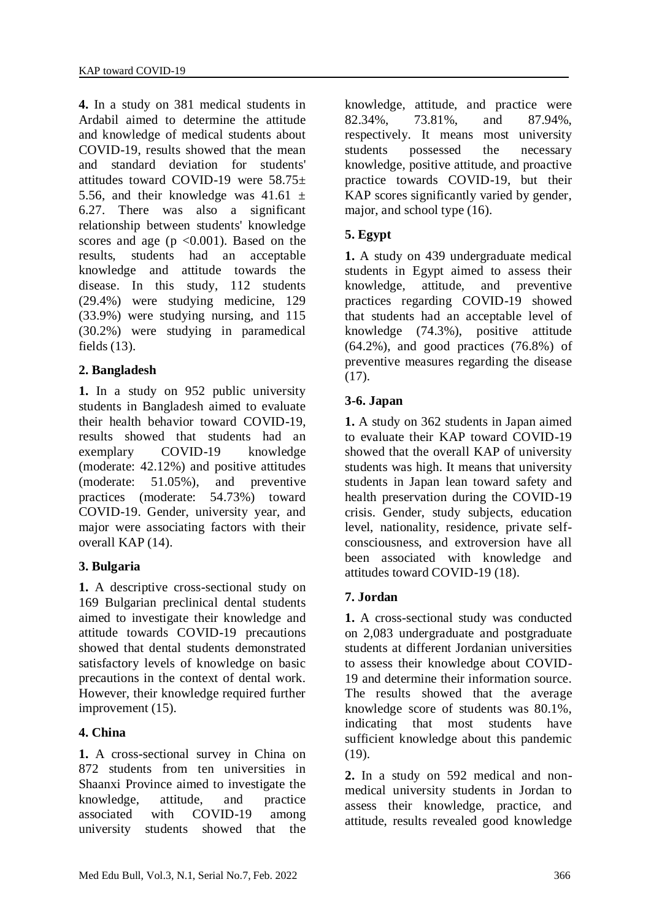**4.** In a study on 381 medical students in Ardabil aimed to determine the attitude and knowledge of medical students about COVID-19, results showed that the mean and standard deviation for students' attitudes toward COVID-19 were  $58.75\pm$ 5.56, and their knowledge was  $41.61 \pm$ 6.27. There was also a significant relationship between students' knowledge scores and age ( $p \le 0.001$ ). Based on the results, students had an acceptable knowledge and attitude towards the disease. In this study, 112 students (29.4%) were studying medicine, 129 (33.9%) were studying nursing, and 115 (30.2%) were studying in paramedical fields (13).

# **2. Bangladesh**

**1.** In a study on 952 public university students in Bangladesh aimed to evaluate their health behavior toward COVID-19, results showed that students had an exemplary COVID-19 knowledge (moderate: 42.12%) and positive attitudes (moderate: 51.05%), and preventive practices (moderate: 54.73%) toward COVID-19. Gender, university year, and major were associating factors with their overall KAP (14).

# **3. Bulgaria**

**1.** A descriptive cross-sectional study on 169 Bulgarian preclinical dental students aimed to investigate their knowledge and attitude towards COVID-19 precautions showed that dental students demonstrated satisfactory levels of knowledge on basic precautions in the context of dental work. However, their knowledge required further improvement (15).

## **4. China**

**1.** A cross-sectional survey in China on 872 students from ten universities in Shaanxi Province aimed to investigate the knowledge, attitude, and practice associated with COVID-19 among university students showed that the knowledge, attitude, and practice were 82.34%, 73.81%, and 87.94%, respectively. It means most university students possessed the necessary knowledge, positive attitude, and proactive practice towards COVID-19, but their KAP scores significantly varied by gender, major, and school type (16).

## **5. Egypt**

**1.** A study on 439 undergraduate medical students in Egypt aimed to assess their knowledge, attitude, and preventive practices regarding COVID-19 showed that students had an acceptable level of knowledge (74.3%), positive attitude  $(64.2\%)$ , and good practices  $(76.8\%)$  of preventive measures regarding the disease (17).

#### **3-6. Japan**

**1.** A study on 362 students in Japan aimed to evaluate their KAP toward COVID-19 showed that the overall KAP of university students was high. It means that university students in Japan lean toward safety and health preservation during the COVID-19 crisis. Gender, study subjects, education level, nationality, residence, private selfconsciousness, and extroversion have all been associated with knowledge and attitudes toward COVID-19 (18).

## **7. Jordan**

**1.** A cross-sectional study was conducted on 2,083 undergraduate and postgraduate students at different Jordanian universities to assess their knowledge about COVID-19 and determine their information source. The results showed that the average knowledge score of students was 80.1%, indicating that most students have sufficient knowledge about this pandemic (19).

**2.** In a study on 592 medical and nonmedical university students in Jordan to assess their knowledge, practice, and attitude, results revealed good knowledge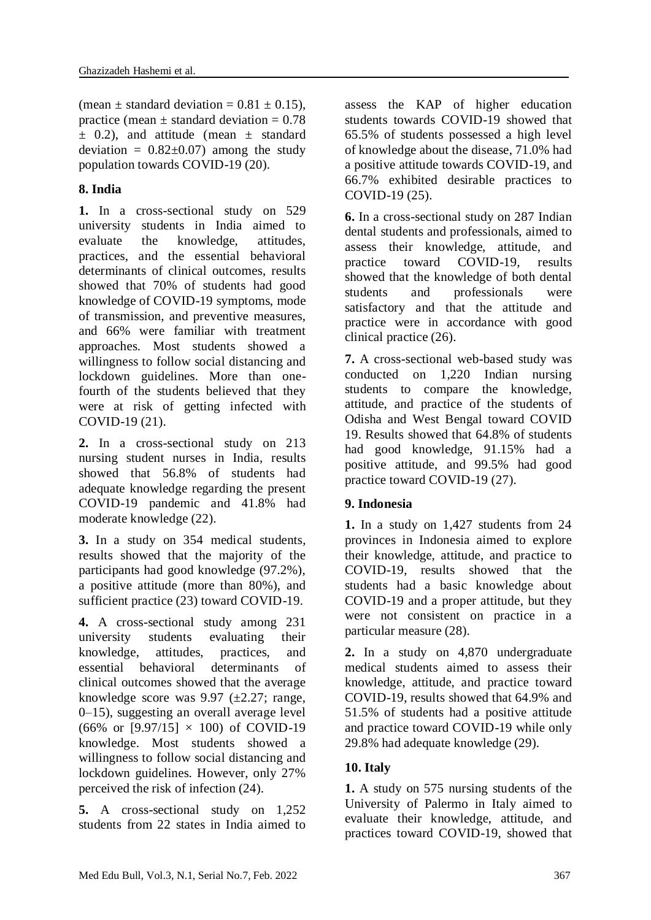(mean  $\pm$  standard deviation = 0.81  $\pm$  0.15). practice (mean  $\pm$  standard deviation = 0.78  $\pm$  0.2), and attitude (mean  $\pm$  standard deviation =  $0.82 \pm 0.07$  among the study population towards COVID-19 (20).

#### **8. India**

**1.** In a cross-sectional study on 529 university students in India aimed to evaluate the knowledge, attitudes, practices, and the essential behavioral determinants of clinical outcomes, results showed that 70% of students had good knowledge of COVID-19 symptoms, mode of transmission, and preventive measures, and 66% were familiar with treatment approaches. Most students showed a willingness to follow social distancing and lockdown guidelines. More than onefourth of the students believed that they were at risk of getting infected with COVID-19 (21).

**2.** In a cross-sectional study on 213 nursing student nurses in India, results showed that 56.8% of students had adequate knowledge regarding the present COVID-19 pandemic and 41.8% had moderate knowledge (22).

**3.** In a study on 354 medical students, results showed that the majority of the participants had good knowledge (97.2%), a positive attitude (more than 80%), and sufficient practice (23) toward COVID-19.

**4.** A cross-sectional study among 231 university students evaluating their knowledge, attitudes, practices, and essential behavioral determinants of clinical outcomes showed that the average knowledge score was  $9.97$  ( $\pm 2.27$ ; range, 0–15), suggesting an overall average level (66% or  $[9.97/15] \times 100$ ) of COVID-19 knowledge. Most students showed a willingness to follow social distancing and lockdown guidelines. However, only 27% perceived the risk of infection (24).

**5.** A cross-sectional study on 1,252 students from 22 states in India aimed to

assess the KAP of higher education students towards COVID-19 showed that 65.5% of students possessed a high level of knowledge about the disease, 71.0% had a positive attitude towards COVID-19, and 66.7% exhibited desirable practices to COVID-19 (25).

**6.** In a cross-sectional study on 287 Indian dental students and professionals, aimed to assess their knowledge, attitude, and practice toward COVID-19, results showed that the knowledge of both dental students and professionals were satisfactory and that the attitude and practice were in accordance with good clinical practice (26).

**7.** A cross-sectional web-based study was conducted on 1,220 Indian nursing students to compare the knowledge, attitude, and practice of the students of Odisha and West Bengal toward COVID 19. Results showed that 64.8% of students had good knowledge, 91.15% had a positive attitude, and 99.5% had good practice toward COVID-19 (27).

## **9. Indonesia**

**1.** In a study on 1,427 students from 24 provinces in Indonesia aimed to explore their knowledge, attitude, and practice to COVID-19, results showed that the students had a basic knowledge about COVID-19 and a proper attitude, but they were not consistent on practice in a particular measure (28).

**2.** In a study on 4,870 undergraduate medical students aimed to assess their knowledge, attitude, and practice toward COVID-19, results showed that 64.9% and 51.5% of students had a positive attitude and practice toward COVID-19 while only 29.8% had adequate knowledge (29).

# **10. Italy**

**1.** A study on 575 nursing students of the University of Palermo in Italy aimed to evaluate their knowledge, attitude, and practices toward COVID-19, showed that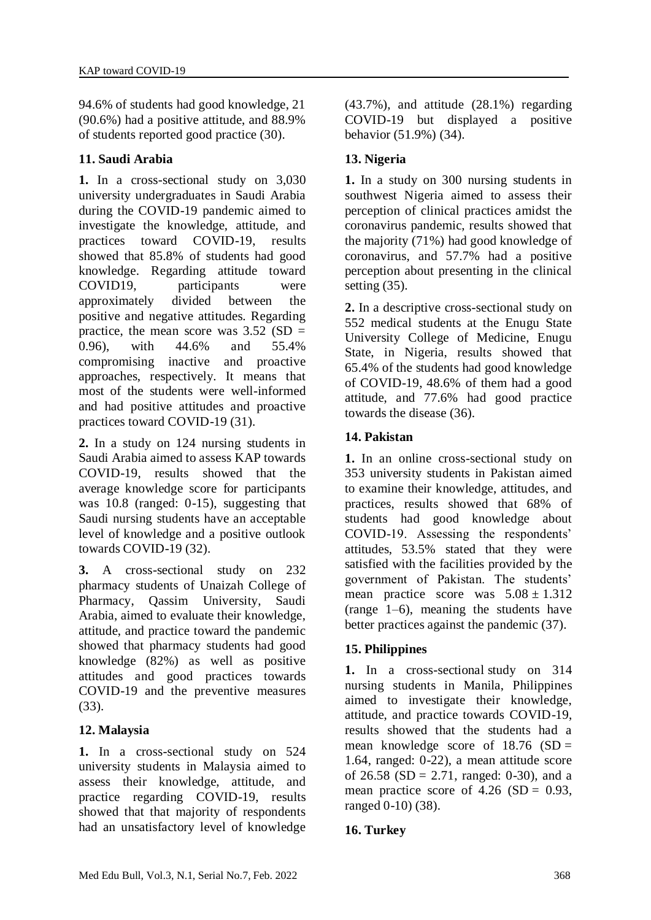94.6% of students had good knowledge, 21 (90.6%) had a positive attitude, and 88.9% of students reported good practice (30).

## **11. Saudi Arabia**

**1.** In a cross-sectional study on 3,030 university undergraduates in Saudi Arabia during the COVID-19 pandemic aimed to investigate the knowledge, attitude, and practices toward COVID-19, results showed that 85.8% of students had good knowledge. Regarding attitude toward COVID19, participants were approximately divided between the positive and negative attitudes. Regarding practice, the mean score was  $3.52$  (SD = 0.96), with 44.6% and 55.4% compromising inactive and proactive approaches, respectively. It means that most of the students were well-informed and had positive attitudes and proactive practices toward COVID-19 (31).

**2.** In a study on 124 nursing students in Saudi Arabia aimed to assess KAP towards COVID-19, results showed that the average knowledge score for participants was 10.8 (ranged: 0-15), suggesting that Saudi nursing students have an acceptable level of knowledge and a positive outlook towards COVID-19 (32).

**3.** A cross-sectional study on 232 pharmacy students of Unaizah College of Pharmacy, Qassim University, Saudi Arabia, aimed to evaluate their knowledge, attitude, and practice toward the pandemic showed that pharmacy students had good knowledge (82%) as well as positive attitudes and good practices towards COVID-19 and the preventive measures (33).

# **12. Malaysia**

**1.** In a cross-sectional study on 524 university students in Malaysia aimed to assess their knowledge, attitude, and practice regarding COVID-19, results showed that that majority of respondents had an unsatisfactory level of knowledge

(43.7%), and attitude (28.1%) regarding COVID-19 but displayed a positive behavior (51.9%) (34).

# **13. Nigeria**

**1.** In a study on 300 nursing students in southwest Nigeria aimed to assess their perception of clinical practices amidst the coronavirus pandemic, results showed that the majority (71%) had good knowledge of coronavirus, and 57.7% had a positive perception about presenting in the clinical setting (35).

**2.** In a descriptive cross-sectional study on 552 medical students at the Enugu State University College of Medicine, Enugu State, in Nigeria, results showed that 65.4% of the students had good knowledge of COVID-19, 48.6% of them had a good attitude, and 77.6% had good practice towards the disease (36).

## **14. Pakistan**

**1.** In an online cross-sectional study on 353 university students in Pakistan aimed to examine their knowledge, attitudes, and practices, results showed that 68% of students had good knowledge about COVID-19. Assessing the respondents' attitudes, 53.5% stated that they were satisfied with the facilities provided by the government of Pakistan. The students' mean practice score was  $5.08 \pm 1.312$ (range 1–6), meaning the students have better practices against the pandemic (37).

# **15. Philippines**

**1.** In a cross-sectional study on 314 nursing students in Manila, Philippines aimed to investigate their knowledge, attitude, and practice towards COVID-19, results showed that the students had a mean knowledge score of  $18.76$  (SD = 1.64, ranged: 0-22), a mean attitude score of 26.58 (SD = 2.71, ranged: 0-30), and a mean practice score of  $4.26$  (SD = 0.93, ranged 0-10) (38).

## **16. Turkey**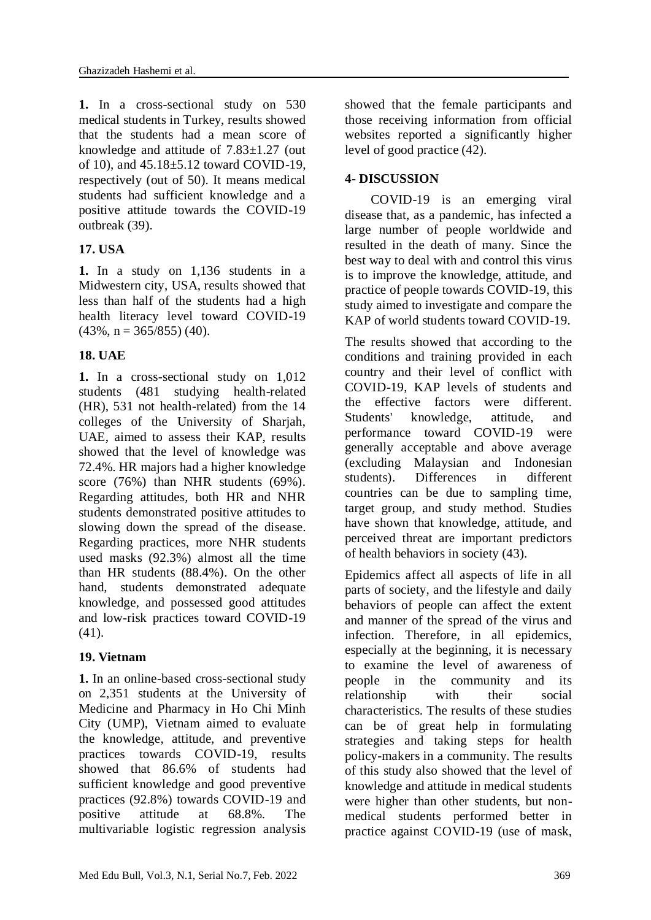**1.** In a cross-sectional study on 530 medical students in Turkey, results showed that the students had a mean score of knowledge and attitude of 7.83±1.27 (out of 10), and 45.18±5.12 toward COVID-19, respectively (out of 50). It means medical students had sufficient knowledge and a positive attitude towards the COVID-19 outbreak (39).

# **17. USA**

**1.** In a study on 1,136 students in a Midwestern city, USA, results showed that less than half of the students had a high health literacy level toward COVID-19  $(43\%, n = 365/855)$  (40).

## **18. UAE**

**1.** In a cross-sectional study on 1,012 students (481 studying health-related (HR), 531 not health-related) from the 14 colleges of the University of Sharjah, UAE, aimed to assess their KAP, results showed that the level of knowledge was 72.4%. HR majors had a higher knowledge score (76%) than NHR students (69%). Regarding attitudes, both HR and NHR students demonstrated positive attitudes to slowing down the spread of the disease. Regarding practices, more NHR students used masks (92.3%) almost all the time than HR students (88.4%). On the other hand, students demonstrated adequate knowledge, and possessed good attitudes and low-risk practices toward COVID-19 (41).

## **19. Vietnam**

**1.** In an online-based cross-sectional study on 2,351 students at the University of Medicine and Pharmacy in Ho Chi Minh City (UMP), Vietnam aimed to evaluate the knowledge, attitude, and preventive practices towards COVID-19, results showed that 86.6% of students had sufficient knowledge and good preventive practices (92.8%) towards COVID-19 and positive attitude at 68.8%. The multivariable logistic regression analysis showed that the female participants and those receiving information from official websites reported a significantly higher level of good practice (42).

# **4- DISCUSSION**

 COVID-19 is an emerging viral disease that, as a pandemic, has infected a large number of people worldwide and resulted in the death of many. Since the best way to deal with and control this virus is to improve the knowledge, attitude, and practice of people towards COVID-19, this study aimed to investigate and compare the KAP of world students toward COVID-19.

The results showed that according to the conditions and training provided in each country and their level of conflict with COVID-19, KAP levels of students and the effective factors were different. Students' knowledge, attitude, and performance toward COVID-19 were generally acceptable and above average (excluding Malaysian and Indonesian students). Differences in different countries can be due to sampling time, target group, and study method. Studies have shown that knowledge, attitude, and perceived threat are important predictors of health behaviors in society (43).

Epidemics affect all aspects of life in all parts of society, and the lifestyle and daily behaviors of people can affect the extent and manner of the spread of the virus and infection. Therefore, in all epidemics, especially at the beginning, it is necessary to examine the level of awareness of people in the community and its relationship with their social characteristics. The results of these studies can be of great help in formulating strategies and taking steps for health policy-makers in a community. The results of this study also showed that the level of knowledge and attitude in medical students were higher than other students, but nonmedical students performed better in practice against COVID-19 (use of mask,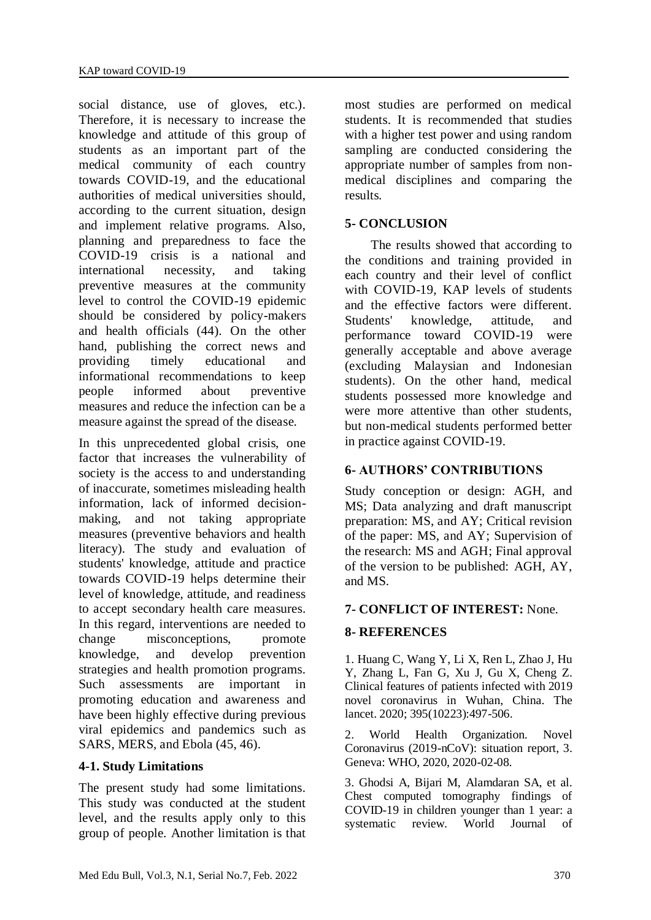social distance, use of gloves, etc.). Therefore, it is necessary to increase the knowledge and attitude of this group of students as an important part of the medical community of each country towards COVID-19, and the educational authorities of medical universities should, according to the current situation, design and implement relative programs. Also, planning and preparedness to face the COVID-19 crisis is a national and international necessity, and taking preventive measures at the community level to control the COVID-19 epidemic should be considered by policy-makers and health officials (44). On the other hand, publishing the correct news and providing timely educational and informational recommendations to keep people informed about preventive measures and reduce the infection can be a measure against the spread of the disease.

In this unprecedented global crisis, one factor that increases the vulnerability of society is the access to and understanding of inaccurate, sometimes misleading health information, lack of informed decisionmaking, and not taking appropriate measures (preventive behaviors and health literacy). The study and evaluation of students' knowledge, attitude and practice towards COVID-19 helps determine their level of knowledge, attitude, and readiness to accept secondary health care measures. In this regard, interventions are needed to change misconceptions, promote knowledge, and develop prevention strategies and health promotion programs. Such assessments are important in promoting education and awareness and have been highly effective during previous viral epidemics and pandemics such as SARS, MERS, and Ebola (45, 46).

#### **4-1. Study Limitations**

The present study had some limitations. This study was conducted at the student level, and the results apply only to this group of people. Another limitation is that

most studies are performed on medical students. It is recommended that studies with a higher test power and using random sampling are conducted considering the appropriate number of samples from nonmedical disciplines and comparing the results.

#### **5- CONCLUSION**

 The results showed that according to the conditions and training provided in each country and their level of conflict with COVID-19, KAP levels of students and the effective factors were different. Students' knowledge, attitude, and performance toward COVID-19 were generally acceptable and above average (excluding Malaysian and Indonesian students). On the other hand, medical students possessed more knowledge and were more attentive than other students, but non-medical students performed better in practice against COVID-19.

#### **6- AUTHORS' CONTRIBUTIONS**

Study conception or design: AGH, and MS; Data analyzing and draft manuscript preparation: MS, and AY; Critical revision of the paper: MS, and AY; Supervision of the research: MS and AGH; Final approval of the version to be published: AGH, AY, and MS.

## **7- CONFLICT OF INTEREST:** None.

## **8- REFERENCES**

1. Huang C, Wang Y, Li X, Ren L, Zhao J, Hu Y, Zhang L, Fan G, Xu J, Gu X, Cheng Z. Clinical features of patients infected with 2019 novel coronavirus in Wuhan, China. The lancet. 2020; 395(10223):497-506.

2. World Health Organization. Novel Coronavirus (2019-nCoV): situation report, 3. Geneva: WHO, 2020, 2020-02-08.

3. Ghodsi A, Bijari M, Alamdaran SA, et al. Chest computed tomography findings of COVID-19 in children younger than 1 year: a systematic review. World Journal of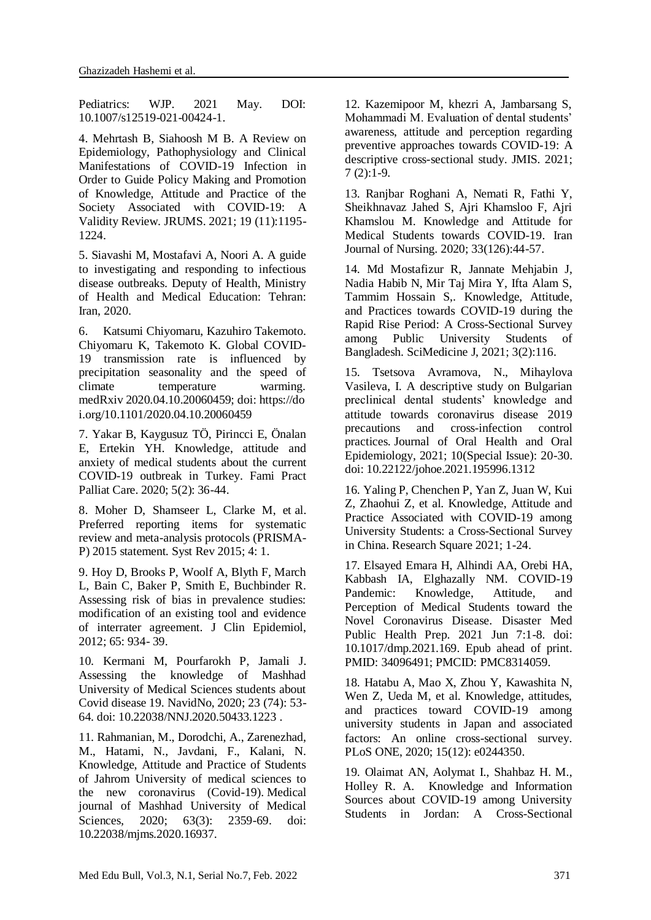Pediatrics: WJP. 2021 May. DOI: 10.1007/s12519-021-00424-1.

4. Mehrtash B, Siahoosh M B. A Review on Epidemiology, Pathophysiology and Clinical Manifestations of COVID-19 Infection in Order to Guide Policy Making and Promotion of Knowledge, Attitude and Practice of the Society Associated with COVID-19: A Validity Review. JRUMS. 2021; 19 (11):1195- 1224.

5. Siavashi M, Mostafavi A, Noori A. A guide to investigating and responding to infectious disease outbreaks. Deputy of Health, Ministry of Health and Medical Education: Tehran: Iran, 2020.

6. Katsumi Chiyomaru, Kazuhiro Takemoto. Chiyomaru K, Takemoto K. Global COVID-19 transmission rate is influenced by precipitation seasonality and the speed of climate temperature warming. medRxiv 2020.04.10.20060459; doi: https://do i.org/10.1101/2020.04.10.20060459

7. Yakar B, Kaygusuz TÖ, Pirincci E, Önalan E, Ertekin YH. Knowledge, attitude and anxiety of medical students about the current COVID-19 outbreak in Turkey. Fami Pract Palliat Care. 2020; 5(2): 36-44.

8. Moher D, Shamseer L, Clarke M, et al. Preferred reporting items for systematic review and meta-analysis protocols (PRISMA-P) 2015 statement. Syst Rev 2015; 4: 1.

9. Hoy D, Brooks P, Woolf A, Blyth F, March L, Bain C, Baker P, Smith E, Buchbinder R. Assessing risk of bias in prevalence studies: modification of an existing tool and evidence of interrater agreement. J Clin Epidemiol, 2012; 65: 934- 39.

10. Kermani M, Pourfarokh P, Jamali J. Assessing the knowledge of Mashhad University of Medical Sciences students about Covid disease 19. NavidNo, 2020; 23 (74): 53- 64. doi: [10.22038/NNJ.2020.50433.1223](https://dx.doi.org/10.22038/nnj.2020.50433.1223) .

11. Rahmanian, M., Dorodchi, A., Zarenezhad, M., Hatami, N., Javdani, F., Kalani, N. Knowledge, Attitude and Practice of Students of Jahrom University of medical sciences to the new coronavirus (Covid-19). Medical journal of Mashhad University of Medical Sciences*,* 2020; 63(3): 2359-69. doi: 10.22038/mjms.2020.16937.

12. Kazemipoor M, khezri A, Jambarsang S, Mohammadi M. Evaluation of dental students' awareness, attitude and perception regarding preventive approaches towards COVID-19: A descriptive cross-sectional study. JMIS. 2021;  $7(2):1-9.$ 

13. Ranjbar Roghani A, Nemati R, Fathi Y, Sheikhnavaz Jahed S, Ajri Khamsloo F, Ajri Khamslou M. Knowledge and Attitude for Medical Students towards COVID-19. Iran Journal of Nursing. 2020; 33(126):44-57.

14. Md Mostafizur R, Jannate Mehjabin J, Nadia Habib N, Mir Taj Mira Y, Ifta Alam S, Tammim Hossain S,*.* Knowledge, Attitude, and Practices towards COVID-19 during the Rapid Rise Period: A Cross-Sectional Survey among Public University Students of Bangladesh. SciMedicine J, 2021; 3(2):116.

15. Tsetsova Avramova, N., Mihaylova Vasileva, I. A descriptive study on Bulgarian preclinical dental students' knowledge and attitude towards coronavirus disease 2019 precautions and cross-infection control practices. Journal of Oral Health and Oral Epidemiology, 2021; 10(Special Issue): 20-30. doi: 10.22122/johoe.2021.195996.1312

16. Yaling P, Chenchen P, Yan Z, Juan W, Kui Z, Zhaohui Z, et al. Knowledge, Attitude and Practice Associated with COVID-19 among University Students: a Cross-Sectional Survey in China. Research Square 2021; 1-24.

17. Elsayed Emara H, Alhindi AA, Orebi HA, Kabbash IA, Elghazally NM. COVID-19 Pandemic: Knowledge, Attitude, and Perception of Medical Students toward the Novel Coronavirus Disease. Disaster Med Public Health Prep. 2021 Jun 7:1-8. doi: 10.1017/dmp.2021.169. Epub ahead of print. PMID: 34096491; PMCID: PMC8314059.

18. Hatabu A, Mao X, Zhou Y, Kawashita N, Wen Z, Ueda M, et al. Knowledge, attitudes, and practices toward COVID-19 among university students in Japan and associated factors: An online cross-sectional survey. PLoS ONE, 2020; 15(12): e0244350.

19. Olaimat AN, Aolymat I., Shahbaz H. M., Holley R. A. Knowledge and Information Sources about COVID-19 among University Students in Jordan: A Cross-Sectional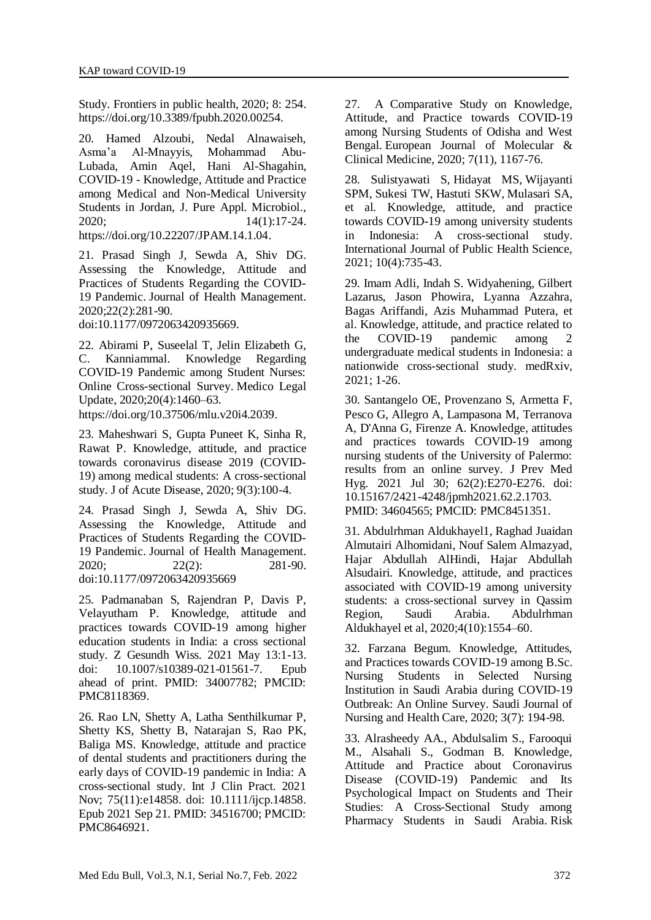Study. Frontiers in public health, 2020; 8: 254. https://doi.org/10.3389/fpubh.2020.00254.

20. Hamed Alzoubi, Nedal Alnawaiseh, Asma'a Al-Mnayyis, Mohammad Abu-Lubada, Amin Aqel, Hani Al-Shagahin, COVID-19 - Knowledge, Attitude and Practice among Medical and Non-Medical University Students in Jordan, J. Pure Appl. Microbiol., 2020; 14(1):17-24. [https://doi.org/10.22207/JPAM.14.1.04.](https://doi.org/10.22207/JPAM.14.1.04)

21. Prasad Singh J, Sewda A, Shiv DG. Assessing the Knowledge, Attitude and Practices of Students Regarding the COVID-19 Pandemic. Journal of Health Management. 2020;22(2):281-90.

doi[:10.1177/0972063420935669.](https://doi.org/10.1177/0972063420935669)

22. Abirami P, Suseelal T, Jelin Elizabeth G, C. Kanniammal. Knowledge Regarding COVID-19 Pandemic among Student Nurses: Online Cross-sectional Survey. Medico Legal Update, 2020;20(4):1460–63.

https://doi.org/10.37506/mlu.v20i4.2039.

23. Maheshwari S, Gupta Puneet K, Sinha R, Rawat P. Knowledge, attitude, and practice towards coronavirus disease 2019 (COVID-19) among medical students: A cross-sectional study. J of Acute Disease, 2020; 9(3):100-4.

24. Prasad Singh J, Sewda A, Shiv DG. Assessing the Knowledge, Attitude and Practices of Students Regarding the COVID-19 Pandemic. Journal of Health Management. 2020; 22(2): 281-90. doi[:10.1177/0972063420935669](https://doi.org/10.1177/0972063420935669)

25. Padmanaban S, Rajendran P, Davis P, Velayutham P. Knowledge, attitude and practices towards COVID-19 among higher education students in India: a cross sectional study. Z Gesundh Wiss. 2021 May 13:1-13. doi: 10.1007/s10389-021-01561-7. Epub ahead of print. PMID: 34007782; PMCID: PMC8118369.

26. Rao LN, Shetty A, Latha Senthilkumar P, Shetty KS, Shetty B, Natarajan S, Rao PK, Baliga MS. Knowledge, attitude and practice of dental students and practitioners during the early days of COVID-19 pandemic in India: A cross-sectional study. Int J Clin Pract. 2021 Nov; 75(11):e14858. doi: 10.1111/ijcp.14858. Epub 2021 Sep 21. PMID: 34516700; PMCID: PMC8646921.

27. A Comparative Study on Knowledge, Attitude, and Practice towards COVID-19 among Nursing Students of Odisha and West Bengal. European Journal of Molecular & Clinical Medicine, 2020; 7(11), 1167-76.

28. [Sulistyawati S,](https://pesquisa.bvsalud.org/global-literature-on-novel-coronavirus-2019-ncov/?lang=en&q=au:%22Sulistyawati,%20S.%22) [Hidayat MS,](https://pesquisa.bvsalud.org/global-literature-on-novel-coronavirus-2019-ncov/?lang=en&q=au:%22Hidayat,%20M.%20S.%22) [Wijayanti](https://pesquisa.bvsalud.org/global-literature-on-novel-coronavirus-2019-ncov/?lang=en&q=au:%22Wijayanti,%20S.%20P.%20M.%22)  [SPM,](https://pesquisa.bvsalud.org/global-literature-on-novel-coronavirus-2019-ncov/?lang=en&q=au:%22Wijayanti,%20S.%20P.%20M.%22) [Sukesi TW,](https://pesquisa.bvsalud.org/global-literature-on-novel-coronavirus-2019-ncov/?lang=en&q=au:%22Sukesi,%20T.%20W.%22) [Hastuti SKW,](https://pesquisa.bvsalud.org/global-literature-on-novel-coronavirus-2019-ncov/?lang=en&q=au:%22Hastuti,%20S.%20K.%20W.%22) [Mulasari SA,](https://pesquisa.bvsalud.org/global-literature-on-novel-coronavirus-2019-ncov/?lang=en&q=au:%22Mulasari,%20S.%20A.%22)  [et al.](https://pesquisa.bvsalud.org/global-literature-on-novel-coronavirus-2019-ncov/?lang=en&q=au:%22Mulasari,%20S.%20A.%22) Knowledge, attitude, and practice towards COVID-19 among university students in Indonesia: A cross-sectional study. International Journal of Public Health Science, 2021; 10(4):735-43.

29. Imam Adli, Indah S. Widyahening, Gilbert Lazarus, Jason Phowira, Lyanna Azzahra, Bagas Ariffandi, Azis Muhammad Putera, et al. Knowledge, attitude, and practice related to the COVID-19 pandemic among 2 undergraduate medical students in Indonesia: a nationwide cross-sectional study. medRxiv, 2021; 1-26.

30. Santangelo OE, Provenzano S, Armetta F, Pesco G, Allegro A, Lampasona M, Terranova A, D'Anna G, Firenze A. Knowledge, attitudes and practices towards COVID-19 among nursing students of the University of Palermo: results from an online survey. J Prev Med Hyg. 2021 Jul 30; 62(2):E270-E276. doi: 10.15167/2421-4248/jpmh2021.62.2.1703. PMID: 34604565; PMCID: PMC8451351.

31. Abdulrhman Aldukhayel1, Raghad Juaidan Almutairi Alhomidani, Nouf Salem Almazyad, Hajar Abdullah AlHindi, Hajar Abdullah Alsudairi. Knowledge, attitude, and practices associated with COVID-19 among university students: a cross-sectional survey in Qassim Region, Saudi Arabia. Abdulrhman Aldukhayel et al, 2020;4(10):1554–60.

32. Farzana Begum. Knowledge, Attitudes, and Practices towards COVID-19 among B.Sc. Nursing Students in Selected Nursing Institution in Saudi Arabia during COVID-19 Outbreak: An Online Survey. Saudi Journal of Nursing and Health Care, 2020; 3(7): 194-98.

33. Alrasheedy AA., Abdulsalim S., Farooqui M., Alsahali S., Godman B. Knowledge, Attitude and Practice about Coronavirus Disease (COVID-19) Pandemic and Its Psychological Impact on Students and Their Studies: A Cross-Sectional Study among Pharmacy Students in Saudi Arabia. Risk